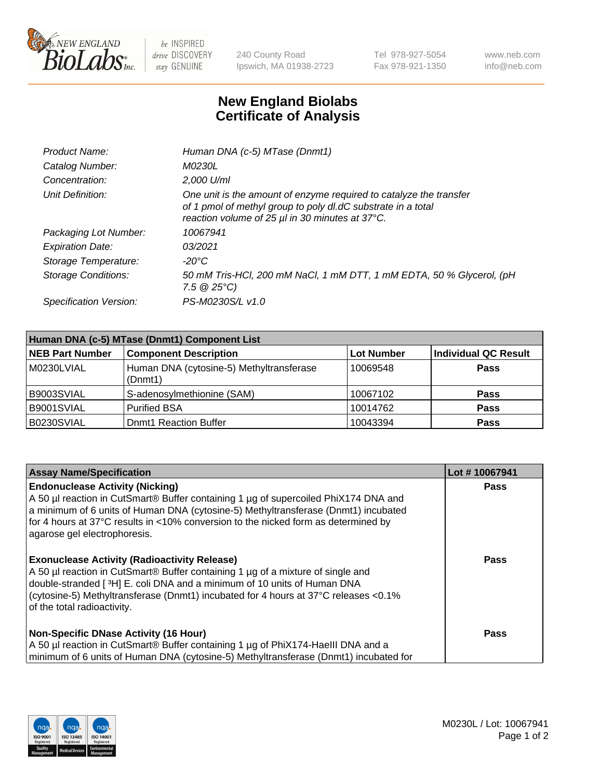

 $be$  INSPIRED drive DISCOVERY stay GENUINE

240 County Road Ipswich, MA 01938-2723 Tel 978-927-5054 Fax 978-921-1350 www.neb.com info@neb.com

## **New England Biolabs Certificate of Analysis**

| Product Name:              | Human DNA (c-5) MTase (Dnmt1)                                                                                                                                                         |
|----------------------------|---------------------------------------------------------------------------------------------------------------------------------------------------------------------------------------|
| Catalog Number:            | <i>M0230L</i>                                                                                                                                                                         |
| Concentration:             | $2.000$ U/ml                                                                                                                                                                          |
| Unit Definition:           | One unit is the amount of enzyme required to catalyze the transfer<br>of 1 pmol of methyl group to poly dl.dC substrate in a total<br>reaction volume of 25 µl in 30 minutes at 37°C. |
| Packaging Lot Number:      | 10067941                                                                                                                                                                              |
| <b>Expiration Date:</b>    | 03/2021                                                                                                                                                                               |
| Storage Temperature:       | $-20^{\circ}$ C                                                                                                                                                                       |
| <b>Storage Conditions:</b> | 50 mM Tris-HCl, 200 mM NaCl, 1 mM DTT, 1 mM EDTA, 50 % Glycerol, (pH<br>$7.5 \ @ 25^{\circ}C$                                                                                         |
| Specification Version:     | PS-M0230S/L v1.0                                                                                                                                                                      |

| Human DNA (c-5) MTase (Dnmt1) Component List |                                                     |                   |                      |  |  |
|----------------------------------------------|-----------------------------------------------------|-------------------|----------------------|--|--|
| <b>NEB Part Number</b>                       | <b>Component Description</b>                        | <b>Lot Number</b> | Individual QC Result |  |  |
| M0230LVIAL                                   | Human DNA (cytosine-5) Methyltransferase<br>(Dnmt1) | 10069548          | Pass                 |  |  |
| B9003SVIAL                                   | S-adenosylmethionine (SAM)                          | 10067102          | <b>Pass</b>          |  |  |
| B9001SVIAL                                   | <b>Purified BSA</b>                                 | 10014762          | <b>Pass</b>          |  |  |
| B0230SVIAL                                   | <b>Domt1 Reaction Buffer</b>                        | 10043394          | <b>Pass</b>          |  |  |

| <b>Assay Name/Specification</b>                                                                                                                                                                                                                                                                                                           | Lot #10067941 |
|-------------------------------------------------------------------------------------------------------------------------------------------------------------------------------------------------------------------------------------------------------------------------------------------------------------------------------------------|---------------|
| <b>Endonuclease Activity (Nicking)</b><br>A 50 µl reaction in CutSmart® Buffer containing 1 µg of supercoiled PhiX174 DNA and<br>a minimum of 6 units of Human DNA (cytosine-5) Methyltransferase (Dnmt1) incubated<br>for 4 hours at 37°C results in <10% conversion to the nicked form as determined by<br>agarose gel electrophoresis. | Pass          |
| <b>Exonuclease Activity (Radioactivity Release)</b><br>A 50 µl reaction in CutSmart® Buffer containing 1 µg of a mixture of single and<br>double-stranded [3H] E. coli DNA and a minimum of 10 units of Human DNA<br>(cytosine-5) Methyltransferase (Dnmt1) incubated for 4 hours at 37°C releases <0.1%<br>of the total radioactivity.   | <b>Pass</b>   |
| <b>Non-Specific DNase Activity (16 Hour)</b><br>A 50 µl reaction in CutSmart® Buffer containing 1 µg of PhiX174-HaellI DNA and a<br>minimum of 6 units of Human DNA (cytosine-5) Methyltransferase (Dnmt1) incubated for                                                                                                                  | <b>Pass</b>   |